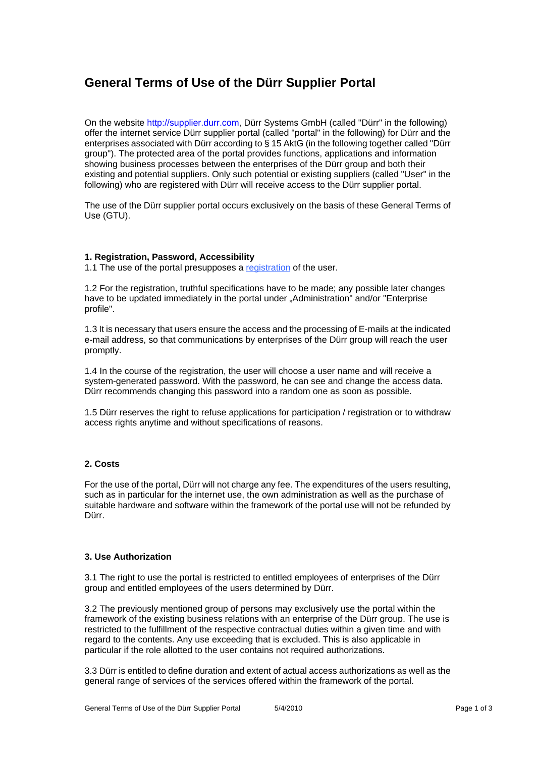# **General Terms of Use of the Dürr Supplier Portal**

On the website http://supplier.durr.com, Dürr Systems GmbH (called "Dürr" in the following) offer the internet service Dürr supplier portal (called "portal" in the following) for Dürr and the enterprises associated with Dürr according to § 15 AktG (in the following together called "Dürr group"). The protected area of the portal provides functions, applications and information showing business processes between the enterprises of the Dürr group and both their existing and potential suppliers. Only such potential or existing suppliers (called "User" in the following) who are registered with Dürr will receive access to the Dürr supplier portal.

The use of the Dürr supplier portal occurs exclusively on the basis of these General Terms of Use (GTU).

#### **1. Registration, Password, Accessibility**

1.1 The use of the portal presupposes a registration of the user.

1.2 For the registration, truthful specifications have to be made; any possible later changes have to be updated immediately in the portal under "Administration" and/or "Enterprise profile".

1.3 It is necessary that users ensure the access and the processing of E-mails at the indicated e-mail address, so that communications by enterprises of the Dürr group will reach the user promptly.

1.4 In the course of the registration, the user will choose a user name and will receive a system-generated password. With the password, he can see and change the access data. Dürr recommends changing this password into a random one as soon as possible.

1.5 Dürr reserves the right to refuse applications for participation / registration or to withdraw access rights anytime and without specifications of reasons.

# **2. Costs**

For the use of the portal, Dürr will not charge any fee. The expenditures of the users resulting, such as in particular for the internet use, the own administration as well as the purchase of suitable hardware and software within the framework of the portal use will not be refunded by Dürr.

### **3. Use Authorization**

3.1 The right to use the portal is restricted to entitled employees of enterprises of the Dürr group and entitled employees of the users determined by Dürr.

3.2 The previously mentioned group of persons may exclusively use the portal within the framework of the existing business relations with an enterprise of the Dürr group. The use is restricted to the fulfillment of the respective contractual duties within a given time and with regard to the contents. Any use exceeding that is excluded. This is also applicable in particular if the role allotted to the user contains not required authorizations.

3.3 Dürr is entitled to define duration and extent of actual access authorizations as well as the general range of services of the services offered within the framework of the portal.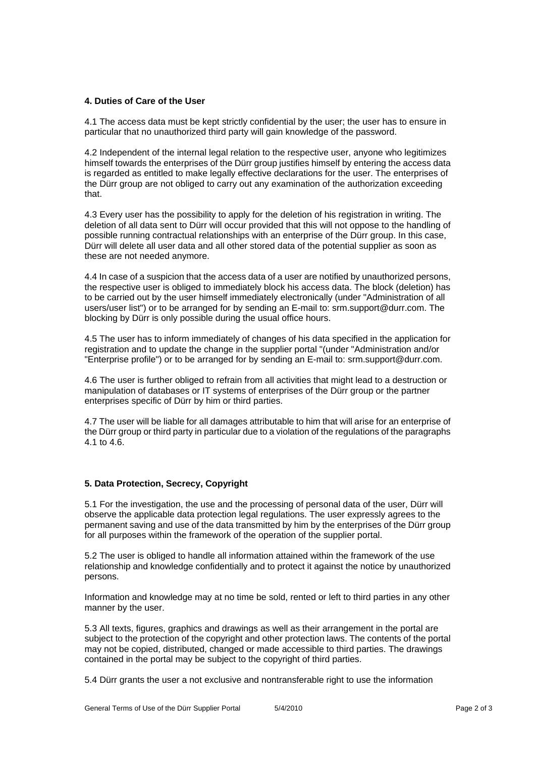### **4. Duties of Care of the User**

4.1 The access data must be kept strictly confidential by the user; the user has to ensure in particular that no unauthorized third party will gain knowledge of the password.

4.2 Independent of the internal legal relation to the respective user, anyone who legitimizes himself towards the enterprises of the Dürr group justifies himself by entering the access data is regarded as entitled to make legally effective declarations for the user. The enterprises of the Dürr group are not obliged to carry out any examination of the authorization exceeding that.

4.3 Every user has the possibility to apply for the deletion of his registration in writing. The deletion of all data sent to Dürr will occur provided that this will not oppose to the handling of possible running contractual relationships with an enterprise of the Dürr group. In this case, Dürr will delete all user data and all other stored data of the potential supplier as soon as these are not needed anymore.

4.4 In case of a suspicion that the access data of a user are notified by unauthorized persons, the respective user is obliged to immediately block his access data. The block (deletion) has to be carried out by the user himself immediately electronically (under "Administration of all users/user list") or to be arranged for by sending an E-mail to: srm.support@durr.com. The blocking by Dürr is only possible during the usual office hours.

4.5 The user has to inform immediately of changes of his data specified in the application for registration and to update the change in the supplier portal "(under "Administration and/or "Enterprise profile") or to be arranged for by sending an E-mail to: srm.support@durr.com.

4.6 The user is further obliged to refrain from all activities that might lead to a destruction or manipulation of databases or IT systems of enterprises of the Dürr group or the partner enterprises specific of Dürr by him or third parties.

4.7 The user will be liable for all damages attributable to him that will arise for an enterprise of the Dürr group or third party in particular due to a violation of the regulations of the paragraphs 4.1 to 4.6.

# **5. Data Protection, Secrecy, Copyright**

5.1 For the investigation, the use and the processing of personal data of the user, Dürr will observe the applicable data protection legal regulations. The user expressly agrees to the permanent saving and use of the data transmitted by him by the enterprises of the Dürr group for all purposes within the framework of the operation of the supplier portal.

5.2 The user is obliged to handle all information attained within the framework of the use relationship and knowledge confidentially and to protect it against the notice by unauthorized persons.

Information and knowledge may at no time be sold, rented or left to third parties in any other manner by the user.

5.3 All texts, figures, graphics and drawings as well as their arrangement in the portal are subject to the protection of the copyright and other protection laws. The contents of the portal may not be copied, distributed, changed or made accessible to third parties. The drawings contained in the portal may be subject to the copyright of third parties.

5.4 Dürr grants the user a not exclusive and nontransferable right to use the information